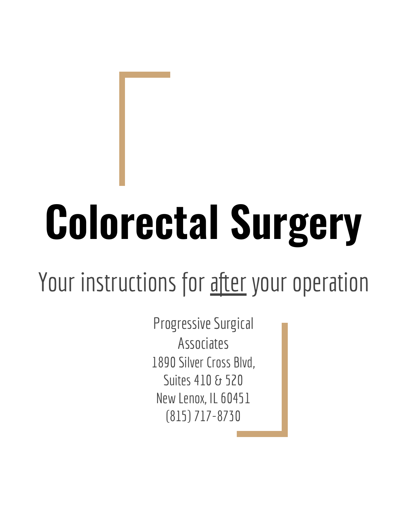# **Colorectal Surgery**

#### Your instructions for after your operation

Progressive Surgical Associates 1890 Silver Cross Blvd, Suites 410 & 520 New Lenox, IL 60451 (815) 717-8730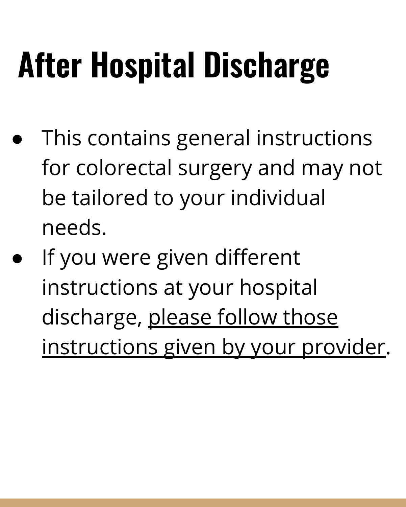- This contains general instructions for colorectal surgery and may not be tailored to your individual needs.
- If you were given different instructions at your hospital discharge, please follow those instructions given by your provider.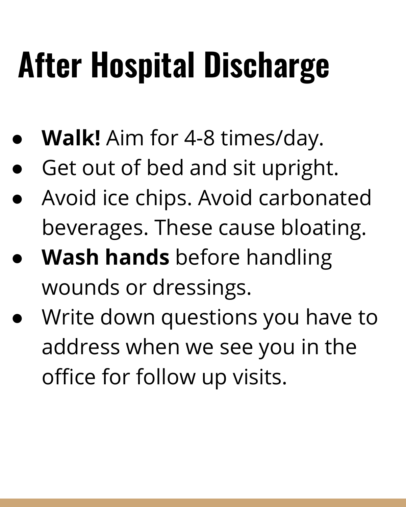- **● Walk!** Aim for 4-8 times/day.
- Get out of bed and sit upright.
- Avoid ice chips. Avoid carbonated beverages. These cause bloating.
- **Wash hands** before handling wounds or dressings.
- Write down questions you have to address when we see you in the office for follow up visits.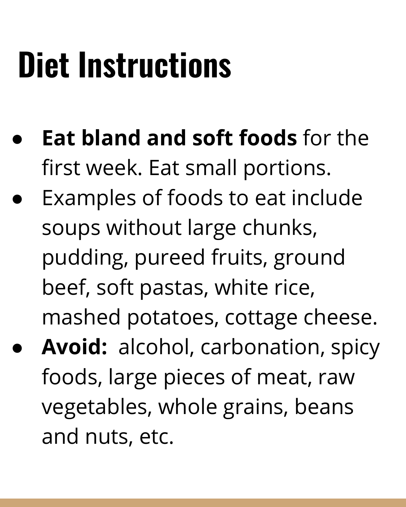#### **Diet Instructions**

- **Eat bland and soft foods** for the first week. Eat small portions.
- Examples of foods to eat include soups without large chunks, pudding, pureed fruits, ground beef, soft pastas, white rice, mashed potatoes, cottage cheese.
- **Avoid:** alcohol, carbonation, spicy foods, large pieces of meat, raw vegetables, whole grains, beans and nuts, etc.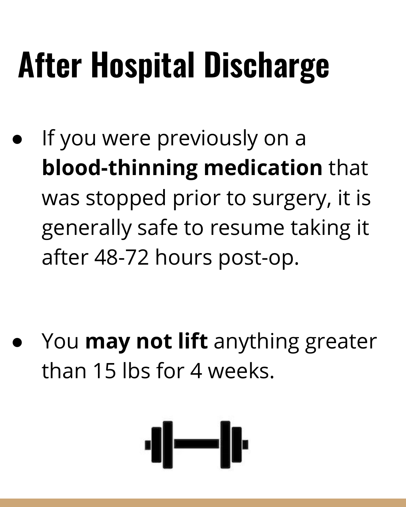If you were previously on a **blood-thinning medication** that was stopped prior to surgery, it is generally safe to resume taking it after 48-72 hours post-op.

You **may not lift** anything greater than 15 lhs for 4 weeks.

$$
\left\| - \right\|_F
$$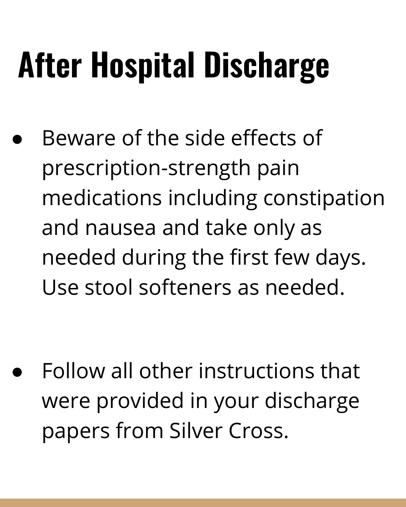Beware of the side effects of prescription-strength pain medications including constipation and nausea and take only as needed during the first few days. Use stool softeners as needed.

**●** Follow all other instructions that were provided in your discharge papers from Silver Cross.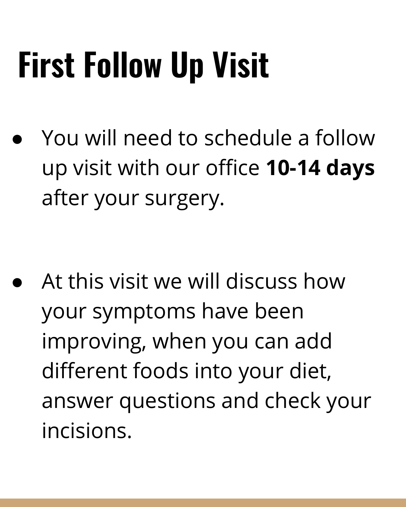## **First Follow Up Visit**

You will need to schedule a follow up visit with our office **10-14 days** after your surgery.

● At this visit we will discuss how your symptoms have been improving, when you can add different foods into your diet, answer questions and check your incisions.